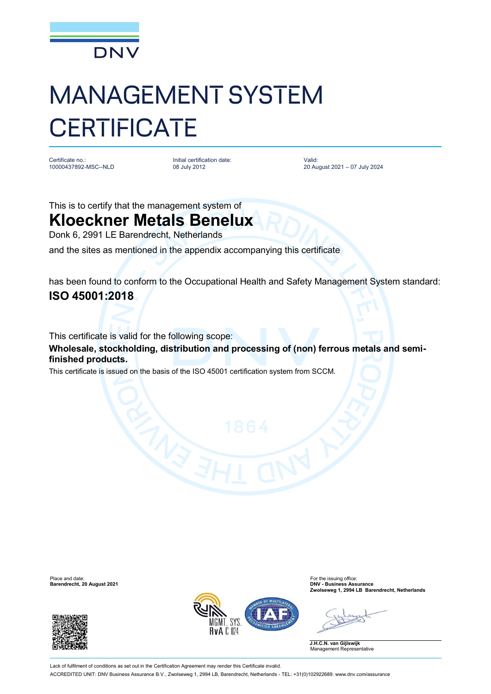

## MANAGEMENT SYSTEM **CERTIFICATE**

Certificate no.: 10000437892-MSC--NLD Initial certification date: 08 July 2012

Valid: 20 August 2021 – 07 July 2024

This is to certify that the management system of

## **Kloeckner Metals Benelux**

Donk 6, 2991 LE Barendrecht, Netherlands

and the sites as mentioned in the appendix accompanying this certificate

has been found to conform to the Occupational Health and Safety Management System standard: **ISO 45001:2018**

This certificate is valid for the following scope:

**Wholesale, stockholding, distribution and processing of (non) ferrous metals and semifinished products.**

This certificate is issued on the basis of the ISO 45001 certification system from SCCM.

Place and date: For the issuing office: **Barendrecht, 20 August 2021 DNV - Business Assurance**





**Zwolseweg 1, 2994 LB Barendrecht, Netherlands**

**J.H.C.N. van Gijlswijk** Management Representative

Lack of fulfilment of conditions as set out in the Certification Agreement may render this Certificate invalid. ACCREDITED UNIT: DNV Business Assurance B.V., Zwolseweg 1, 2994 LB, Barendrecht, Netherlands - TEL: +31(0)102922689. [www.dnv.com/assurance](http://www.dnv.com/assurance)